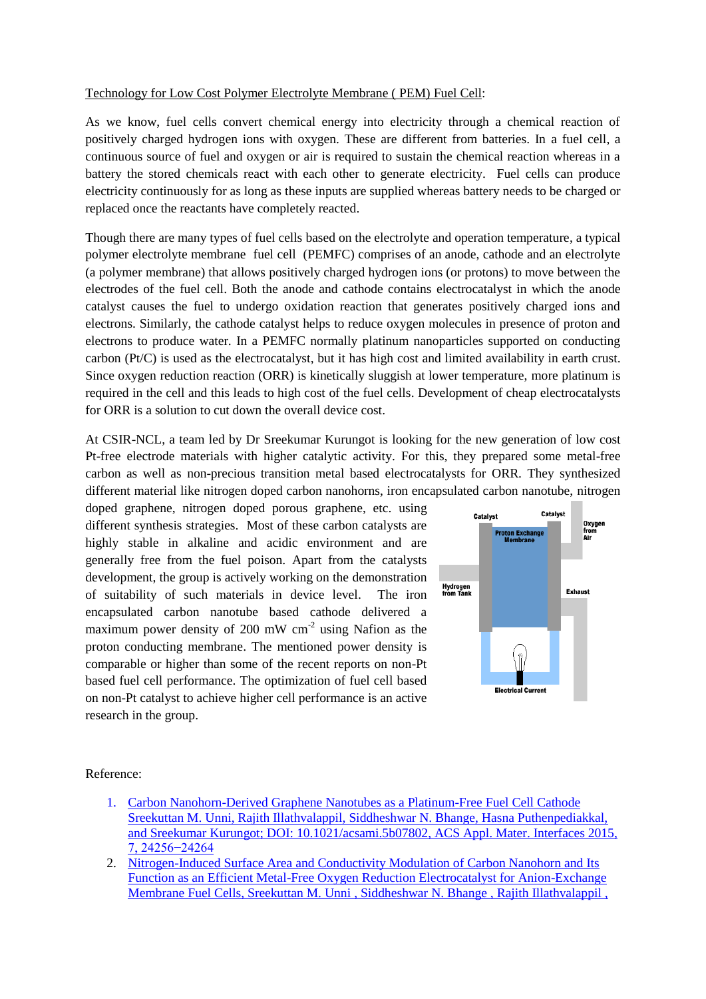## Technology for Low Cost Polymer Electrolyte Membrane ( PEM) Fuel Cell:

As we know, fuel cells convert chemical energy into electricity through a chemical reaction of positively charged hydrogen ions with oxygen. These are different from batteries. In a fuel cell, a continuous source of fuel and oxygen or air is required to sustain the chemical reaction whereas in a battery the stored chemicals react with each other to generate electricity. Fuel cells can produce electricity continuously for as long as these inputs are supplied whereas battery needs to be charged or replaced once the reactants have completely reacted.

Though there are many types of fuel cells based on the electrolyte and operation temperature, a typical polymer electrolyte membrane fuel cell (PEMFC) comprises of an anode, cathode and an electrolyte (a polymer membrane) that allows positively charged hydrogen ions (or protons) to move between the electrodes of the fuel cell. Both the anode and cathode contains electrocatalyst in which the anode catalyst causes the fuel to undergo oxidation reaction that generates positively charged ions and electrons. Similarly, the cathode catalyst helps to reduce oxygen molecules in presence of proton and electrons to produce water. In a PEMFC normally platinum nanoparticles supported on conducting carbon (Pt/C) is used as the electrocatalyst, but it has high cost and limited availability in earth crust. Since oxygen reduction reaction (ORR) is kinetically sluggish at lower temperature, more platinum is required in the cell and this leads to high cost of the fuel cells. Development of cheap electrocatalysts for ORR is a solution to cut down the overall device cost.

At CSIR-NCL, a team led by Dr Sreekumar Kurungot is looking for the new generation of low cost Pt-free electrode materials with higher catalytic activity. For this, they prepared some metal-free carbon as well as non-precious transition metal based electrocatalysts for ORR. They synthesized different material like nitrogen doped carbon nanohorns, iron encapsulated carbon nanotube, nitrogen

doped graphene, nitrogen doped porous graphene, etc. using different synthesis strategies. Most of these carbon catalysts are highly stable in alkaline and acidic environment and are generally free from the fuel poison. Apart from the catalysts development, the group is actively working on the demonstration of suitability of such materials in device level. The iron encapsulated carbon nanotube based cathode delivered a maximum power density of 200 mW  $\text{cm}^{-2}$  using Nafion as the proton conducting membrane. The mentioned power density is comparable or higher than some of the recent reports on non-Pt based fuel cell performance. The optimization of fuel cell based on non-Pt catalyst to achieve higher cell performance is an active research in the group.



Reference:

- 1. [Carbon Nanohorn-Derived Graphene](http://dx.doi.org/10.1021/acsami.5b07802) Nanotubes as a Platinum-Free Fuel Cell Cathode [Sreekuttan M. Unni, Rajith Illathvalappil, Siddheshwar N. Bhange, Hasna Puthenpediakkal,](http://dx.doi.org/10.1021/acsami.5b07802) [and Sreekumar Kurungot; DOI: 10.1021/acsami.5b07802, ACS Appl. Mater. Interfaces 2015,](http://dx.doi.org/10.1021/acsami.5b07802)  [7, 24256−24264](http://dx.doi.org/10.1021/acsami.5b07802)
- 2. [Nitrogen-Induced Surface Area and Conductivity Modulation of Carbon Nanohorn and Its](http://dx.doi.org/10.1002/smll.201303892)  [Function as an Efficient Metal-Free Oxygen Reduction Electrocatalyst for Anion-Exchange](http://dx.doi.org/10.1002/smll.201303892)  [Membrane Fuel Cells, Sreekuttan M. Unni , Siddheshwar N. Bhange , Rajith Illathvalappil ,](http://dx.doi.org/10.1002/smll.201303892)